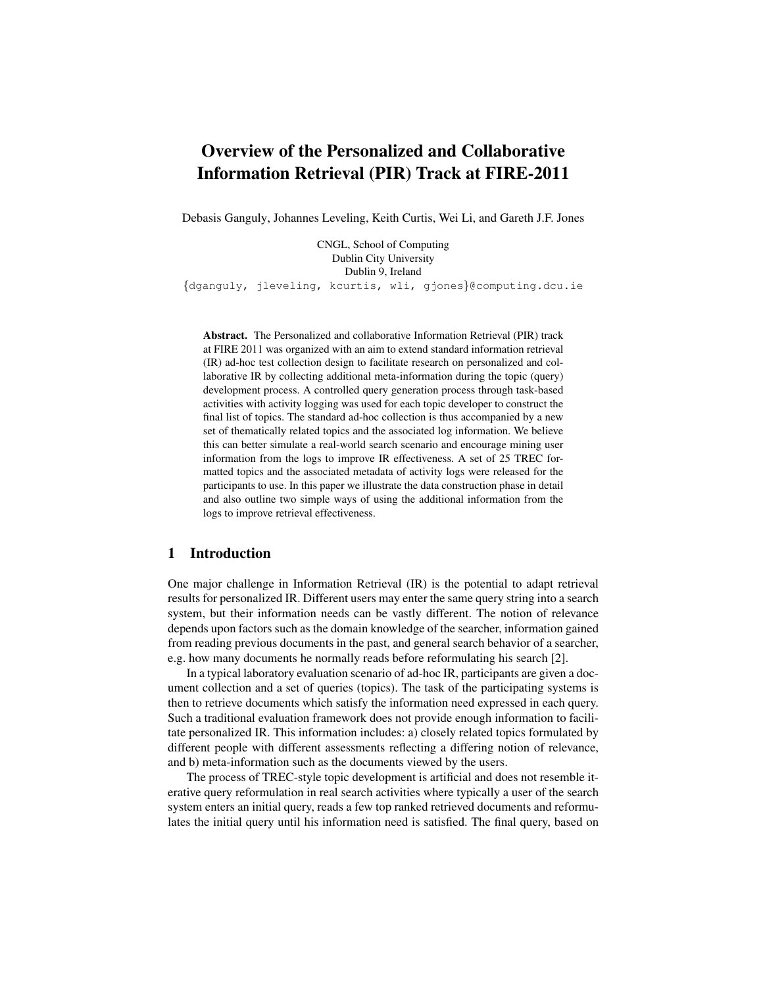# Overview of the Personalized and Collaborative Information Retrieval (PIR) Track at FIRE-2011

Debasis Ganguly, Johannes Leveling, Keith Curtis, Wei Li, and Gareth J.F. Jones

CNGL, School of Computing Dublin City University Dublin 9, Ireland {dganguly, jleveling, kcurtis, wli, gjones}@computing.dcu.ie

Abstract. The Personalized and collaborative Information Retrieval (PIR) track at FIRE 2011 was organized with an aim to extend standard information retrieval (IR) ad-hoc test collection design to facilitate research on personalized and collaborative IR by collecting additional meta-information during the topic (query) development process. A controlled query generation process through task-based activities with activity logging was used for each topic developer to construct the final list of topics. The standard ad-hoc collection is thus accompanied by a new set of thematically related topics and the associated log information. We believe this can better simulate a real-world search scenario and encourage mining user information from the logs to improve IR effectiveness. A set of 25 TREC formatted topics and the associated metadata of activity logs were released for the participants to use. In this paper we illustrate the data construction phase in detail and also outline two simple ways of using the additional information from the logs to improve retrieval effectiveness.

## 1 Introduction

One major challenge in Information Retrieval (IR) is the potential to adapt retrieval results for personalized IR. Different users may enter the same query string into a search system, but their information needs can be vastly different. The notion of relevance depends upon factors such as the domain knowledge of the searcher, information gained from reading previous documents in the past, and general search behavior of a searcher, e.g. how many documents he normally reads before reformulating his search [2].

In a typical laboratory evaluation scenario of ad-hoc IR, participants are given a document collection and a set of queries (topics). The task of the participating systems is then to retrieve documents which satisfy the information need expressed in each query. Such a traditional evaluation framework does not provide enough information to facilitate personalized IR. This information includes: a) closely related topics formulated by different people with different assessments reflecting a differing notion of relevance, and b) meta-information such as the documents viewed by the users.

The process of TREC-style topic development is artificial and does not resemble iterative query reformulation in real search activities where typically a user of the search system enters an initial query, reads a few top ranked retrieved documents and reformulates the initial query until his information need is satisfied. The final query, based on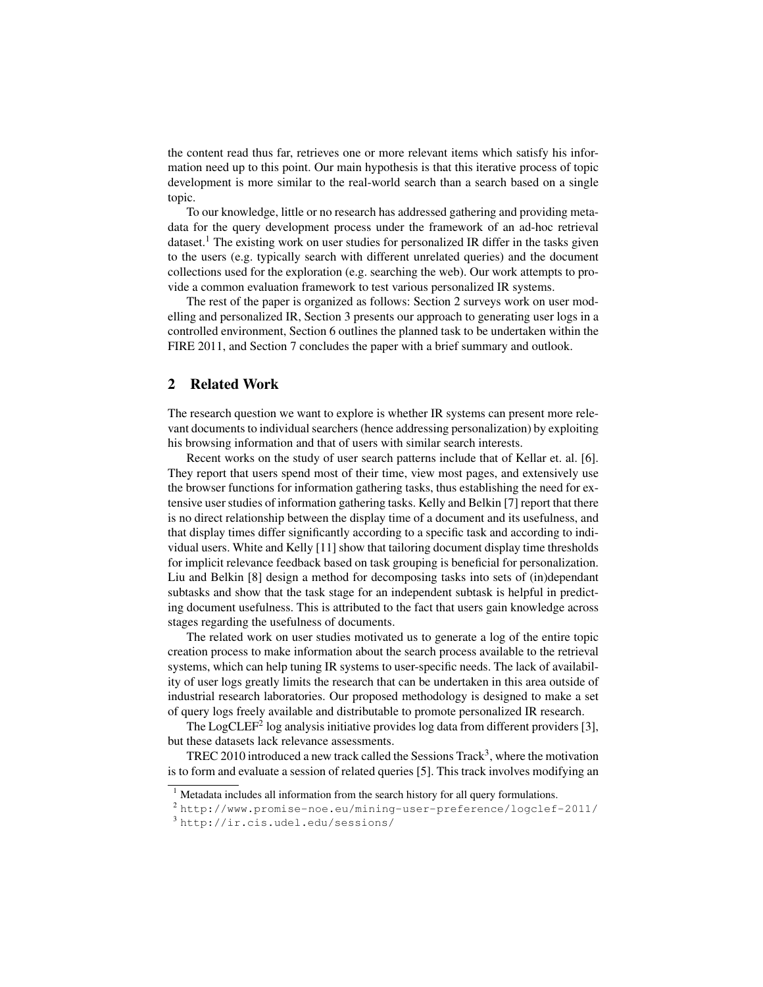the content read thus far, retrieves one or more relevant items which satisfy his information need up to this point. Our main hypothesis is that this iterative process of topic development is more similar to the real-world search than a search based on a single topic.

To our knowledge, little or no research has addressed gathering and providing metadata for the query development process under the framework of an ad-hoc retrieval dataset.<sup>1</sup> The existing work on user studies for personalized IR differ in the tasks given to the users (e.g. typically search with different unrelated queries) and the document collections used for the exploration (e.g. searching the web). Our work attempts to provide a common evaluation framework to test various personalized IR systems.

The rest of the paper is organized as follows: Section 2 surveys work on user modelling and personalized IR, Section 3 presents our approach to generating user logs in a controlled environment, Section 6 outlines the planned task to be undertaken within the FIRE 2011, and Section 7 concludes the paper with a brief summary and outlook.

## 2 Related Work

The research question we want to explore is whether IR systems can present more relevant documents to individual searchers (hence addressing personalization) by exploiting his browsing information and that of users with similar search interests.

Recent works on the study of user search patterns include that of Kellar et. al. [6]. They report that users spend most of their time, view most pages, and extensively use the browser functions for information gathering tasks, thus establishing the need for extensive user studies of information gathering tasks. Kelly and Belkin [7] report that there is no direct relationship between the display time of a document and its usefulness, and that display times differ significantly according to a specific task and according to individual users. White and Kelly [11] show that tailoring document display time thresholds for implicit relevance feedback based on task grouping is beneficial for personalization. Liu and Belkin [8] design a method for decomposing tasks into sets of (in)dependant subtasks and show that the task stage for an independent subtask is helpful in predicting document usefulness. This is attributed to the fact that users gain knowledge across stages regarding the usefulness of documents.

The related work on user studies motivated us to generate a log of the entire topic creation process to make information about the search process available to the retrieval systems, which can help tuning IR systems to user-specific needs. The lack of availability of user logs greatly limits the research that can be undertaken in this area outside of industrial research laboratories. Our proposed methodology is designed to make a set of query logs freely available and distributable to promote personalized IR research.

The LogCLEF<sup>2</sup> log analysis initiative provides log data from different providers [3], but these datasets lack relevance assessments.

TREC 2010 introduced a new track called the Sessions Track<sup>3</sup>, where the motivation is to form and evaluate a session of related queries [5]. This track involves modifying an

 $1$  Metadata includes all information from the search history for all query formulations.

<sup>2</sup> http://www.promise-noe.eu/mining-user-preference/logclef-2011/

<sup>3</sup> http://ir.cis.udel.edu/sessions/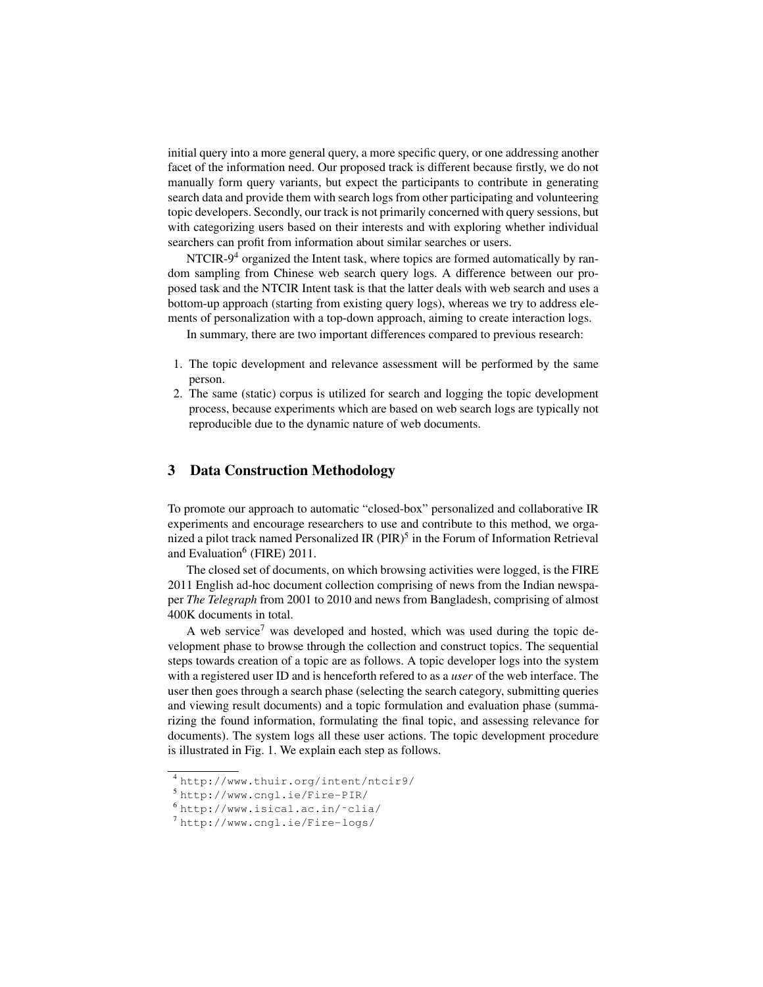initial query into a more general query, a more specific query, or one addressing another facet of the information need. Our proposed track is different because firstly, we do not manually form query variants, but expect the participants to contribute in generating search data and provide them with search logs from other participating and volunteering topic developers. Secondly, our track is not primarily concerned with query sessions, but with categorizing users based on their interests and with exploring whether individual searchers can profit from information about similar searches or users.

NTCIR- $9<sup>4</sup>$  organized the Intent task, where topics are formed automatically by random sampling from Chinese web search query logs. A difference between our proposed task and the NTCIR Intent task is that the latter deals with web search and uses a bottom-up approach (starting from existing query logs), whereas we try to address elements of personalization with a top-down approach, aiming to create interaction logs.

In summary, there are two important differences compared to previous research:

- 1. The topic development and relevance assessment will be performed by the same person.
- 2. The same (static) corpus is utilized for search and logging the topic development process, because experiments which are based on web search logs are typically not reproducible due to the dynamic nature of web documents.

## 3 Data Construction Methodology

To promote our approach to automatic "closed-box" personalized and collaborative IR experiments and encourage researchers to use and contribute to this method, we organized a pilot track named Personalized IR  $(PIR)^5$  in the Forum of Information Retrieval and Evaluation<sup>6</sup> (FIRE) 2011.

The closed set of documents, on which browsing activities were logged, is the FIRE 2011 English ad-hoc document collection comprising of news from the Indian newspaper *The Telegraph* from 2001 to 2010 and news from Bangladesh, comprising of almost 400K documents in total.

A web service<sup>7</sup> was developed and hosted, which was used during the topic development phase to browse through the collection and construct topics. The sequential steps towards creation of a topic are as follows. A topic developer logs into the system with a registered user ID and is henceforth refered to as a *user* of the web interface. The user then goes through a search phase (selecting the search category, submitting queries and viewing result documents) and a topic formulation and evaluation phase (summarizing the found information, formulating the final topic, and assessing relevance for documents). The system logs all these user actions. The topic development procedure is illustrated in Fig. 1. We explain each step as follows.

<sup>4</sup> http://www.thuir.org/intent/ntcir9/

<sup>5</sup> http://www.cngl.ie/Fire-PIR/

<sup>6</sup> http://www.isical.ac.in/˜clia/

<sup>7</sup> http://www.cngl.ie/Fire-logs/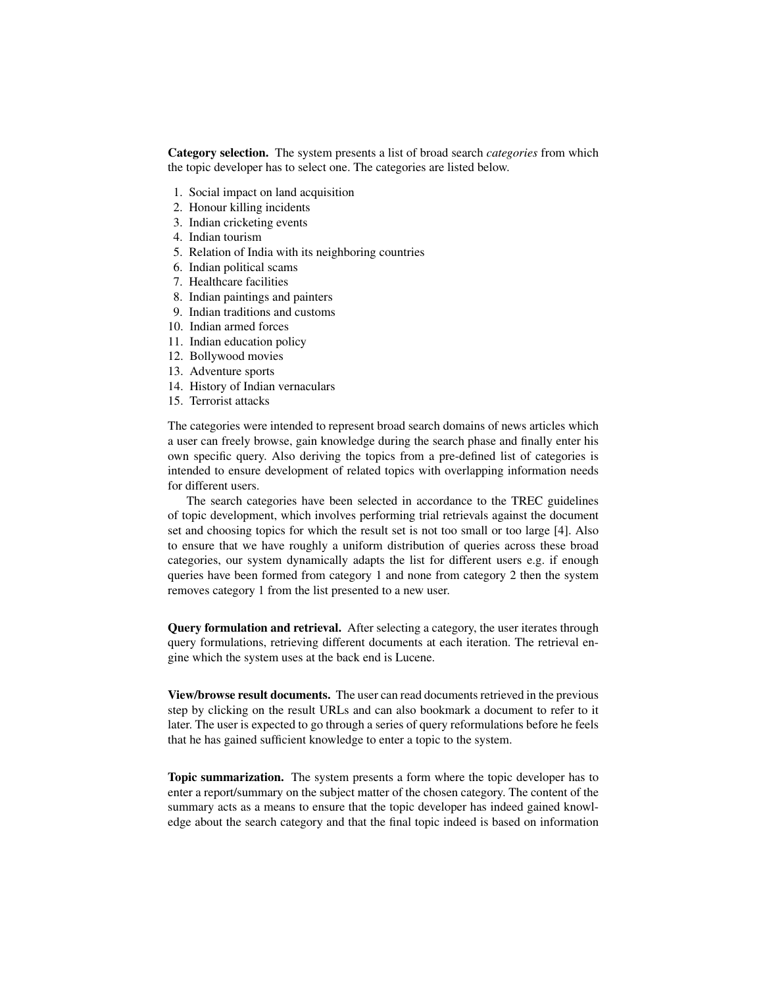Category selection. The system presents a list of broad search *categories* from which the topic developer has to select one. The categories are listed below.

- 1. Social impact on land acquisition
- 2. Honour killing incidents
- 3. Indian cricketing events
- 4. Indian tourism
- 5. Relation of India with its neighboring countries
- 6. Indian political scams
- 7. Healthcare facilities
- 8. Indian paintings and painters
- 9. Indian traditions and customs
- 10. Indian armed forces
- 11. Indian education policy
- 12. Bollywood movies
- 13. Adventure sports
- 14. History of Indian vernaculars
- 15. Terrorist attacks

The categories were intended to represent broad search domains of news articles which a user can freely browse, gain knowledge during the search phase and finally enter his own specific query. Also deriving the topics from a pre-defined list of categories is intended to ensure development of related topics with overlapping information needs for different users.

The search categories have been selected in accordance to the TREC guidelines of topic development, which involves performing trial retrievals against the document set and choosing topics for which the result set is not too small or too large [4]. Also to ensure that we have roughly a uniform distribution of queries across these broad categories, our system dynamically adapts the list for different users e.g. if enough queries have been formed from category 1 and none from category 2 then the system removes category 1 from the list presented to a new user.

Query formulation and retrieval. After selecting a category, the user iterates through query formulations, retrieving different documents at each iteration. The retrieval engine which the system uses at the back end is Lucene.

View/browse result documents. The user can read documents retrieved in the previous step by clicking on the result URLs and can also bookmark a document to refer to it later. The user is expected to go through a series of query reformulations before he feels that he has gained sufficient knowledge to enter a topic to the system.

Topic summarization. The system presents a form where the topic developer has to enter a report/summary on the subject matter of the chosen category. The content of the summary acts as a means to ensure that the topic developer has indeed gained knowledge about the search category and that the final topic indeed is based on information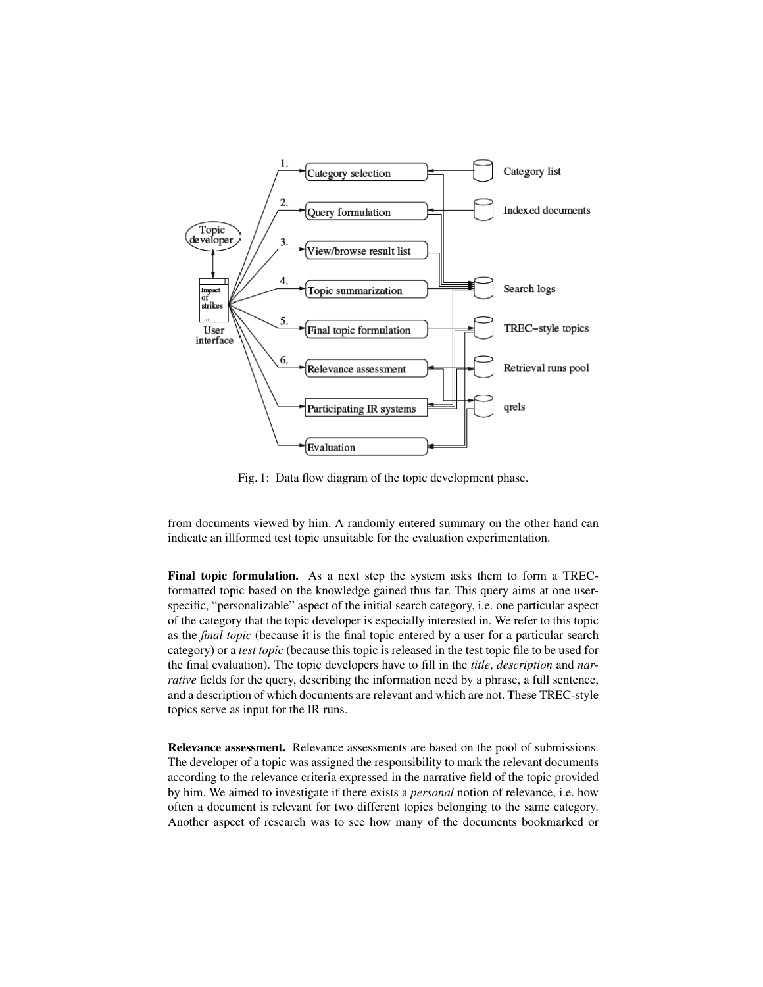

Fig. 1: Data flow diagram of the topic development phase.

from documents viewed by him. A randomly entered summary on the other hand can indicate an illformed test topic unsuitable for the evaluation experimentation.

Final topic formulation. As a next step the system asks them to form a TRECformatted topic based on the knowledge gained thus far. This query aims at one userspecific, "personalizable" aspect of the initial search category, i.e. one particular aspect of the category that the topic developer is especially interested in. We refer to this topic as the *final topic* (because it is the final topic entered by a user for a particular search category) or a *test topic* (because this topic is released in the test topic file to be used for the final evaluation). The topic developers have to fill in the *title*, *description* and *narrative* fields for the query, describing the information need by a phrase, a full sentence, and a description of which documents are relevant and which are not. These TREC-style topics serve as input for the IR runs.

Relevance assessment. Relevance assessments are based on the pool of submissions. The developer of a topic was assigned the responsibility to mark the relevant documents according to the relevance criteria expressed in the narrative field of the topic provided by him. We aimed to investigate if there exists a *personal* notion of relevance, i.e. how often a document is relevant for two different topics belonging to the same category. Another aspect of research was to see how many of the documents bookmarked or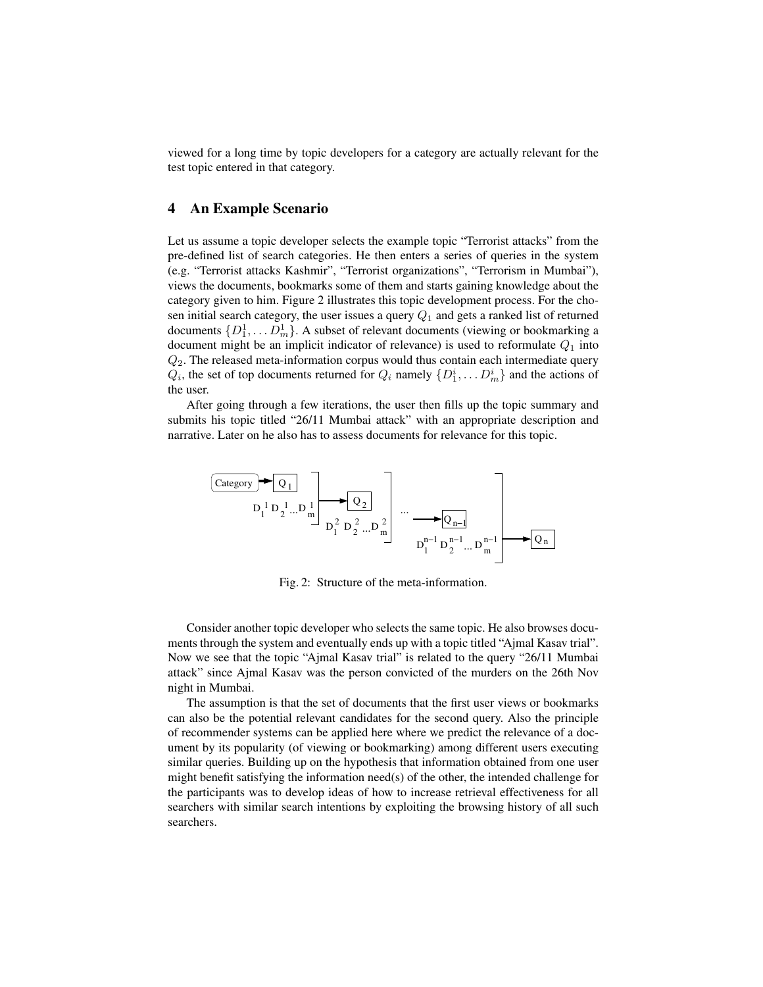viewed for a long time by topic developers for a category are actually relevant for the test topic entered in that category.

## 4 An Example Scenario

 $\left($ 

Let us assume a topic developer selects the example topic "Terrorist attacks" from the pre-defined list of search categories. He then enters a series of queries in the system (e.g. "Terrorist attacks Kashmir", "Terrorist organizations", "Terrorism in Mumbai"), views the documents, bookmarks some of them and starts gaining knowledge about the category given to him. Figure 2 illustrates this topic development process. For the chosen initial search category, the user issues a query  $Q_1$  and gets a ranked list of returned documents  $\{D_1^1, \ldots D_m^1\}$ . A subset of relevant documents (viewing or bookmarking a document might be an implicit indicator of relevance) is used to reformulate  $Q_1$  into  $Q<sub>2</sub>$ . The released meta-information corpus would thus contain each intermediate query  $Q_i$ , the set of top documents returned for  $Q_i$  namely  $\{D_1^i, \ldots D_m^i\}$  and the actions of the user.

After going through a few iterations, the user then fills up the topic summary and submits his topic titled "26/11 Mumbai attack" with an appropriate description and narrative. Later on he also has to assess documents for relevance for this topic.

| Category                | Q <sub>1</sub>                      |
|-------------------------|-------------------------------------|
| $D_1^1 D_2^1 ... D_m^1$ | $Q_2$                               |
| $D_1^2 D_2^2 ... D_m^2$ | $Q_{n-1}$                           |
| $D_1^2 D_2^2 ... D_m^2$ | $D_1^{n-1} D_2^{n-1} ... D_m^{n-1}$ |

Fig. 2: Structure of the meta-information.

Consider another topic developer who selects the same topic. He also browses documents through the system and eventually ends up with a topic titled "Ajmal Kasav trial". Now we see that the topic "Ajmal Kasav trial" is related to the query "26/11 Mumbai attack" since Ajmal Kasav was the person convicted of the murders on the 26th Nov night in Mumbai.

The assumption is that the set of documents that the first user views or bookmarks can also be the potential relevant candidates for the second query. Also the principle of recommender systems can be applied here where we predict the relevance of a document by its popularity (of viewing or bookmarking) among different users executing similar queries. Building up on the hypothesis that information obtained from one user might benefit satisfying the information need(s) of the other, the intended challenge for the participants was to develop ideas of how to increase retrieval effectiveness for all searchers with similar search intentions by exploiting the browsing history of all such searchers.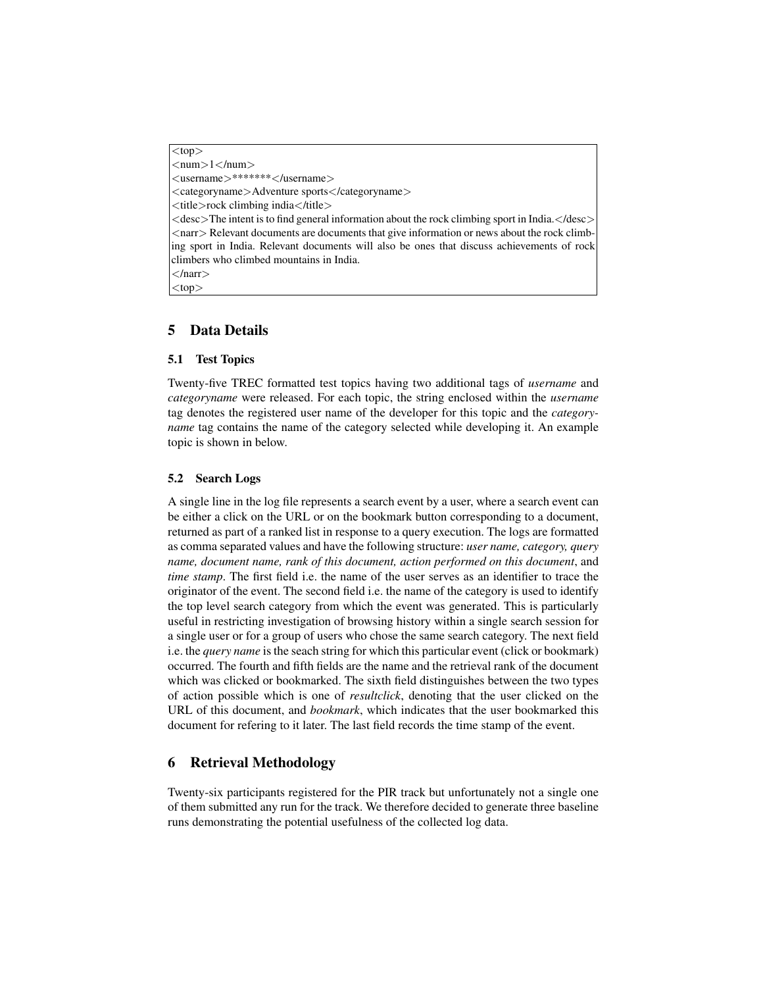$<$ top $>$  $\langle$ num $>l$  $\langle$ /num $>$ <username>\*\*\*\*\*\*\*</username> <categoryname>Adventure sports</categoryname> <title>rock climbing india</title>  $\leq$  desc $>$ The intent is to find general information about the rock climbing sport in India. $\leq$ /desc $>$ <narr> Relevant documents are documents that give information or news about the rock climbing sport in India. Relevant documents will also be ones that discuss achievements of rock climbers who climbed mountains in India.  $<$ /narr $>$ 

 $<$ top $>$ 

# 5 Data Details

#### 5.1 Test Topics

Twenty-five TREC formatted test topics having two additional tags of *username* and *categoryname* were released. For each topic, the string enclosed within the *username* tag denotes the registered user name of the developer for this topic and the *categoryname* tag contains the name of the category selected while developing it. An example topic is shown in below.

#### 5.2 Search Logs

A single line in the log file represents a search event by a user, where a search event can be either a click on the URL or on the bookmark button corresponding to a document, returned as part of a ranked list in response to a query execution. The logs are formatted as comma separated values and have the following structure: *user name, category, query name, document name, rank of this document, action performed on this document*, and *time stamp*. The first field i.e. the name of the user serves as an identifier to trace the originator of the event. The second field i.e. the name of the category is used to identify the top level search category from which the event was generated. This is particularly useful in restricting investigation of browsing history within a single search session for a single user or for a group of users who chose the same search category. The next field i.e. the *query name* is the seach string for which this particular event (click or bookmark) occurred. The fourth and fifth fields are the name and the retrieval rank of the document which was clicked or bookmarked. The sixth field distinguishes between the two types of action possible which is one of *resultclick*, denoting that the user clicked on the URL of this document, and *bookmark*, which indicates that the user bookmarked this document for refering to it later. The last field records the time stamp of the event.

## 6 Retrieval Methodology

Twenty-six participants registered for the PIR track but unfortunately not a single one of them submitted any run for the track. We therefore decided to generate three baseline runs demonstrating the potential usefulness of the collected log data.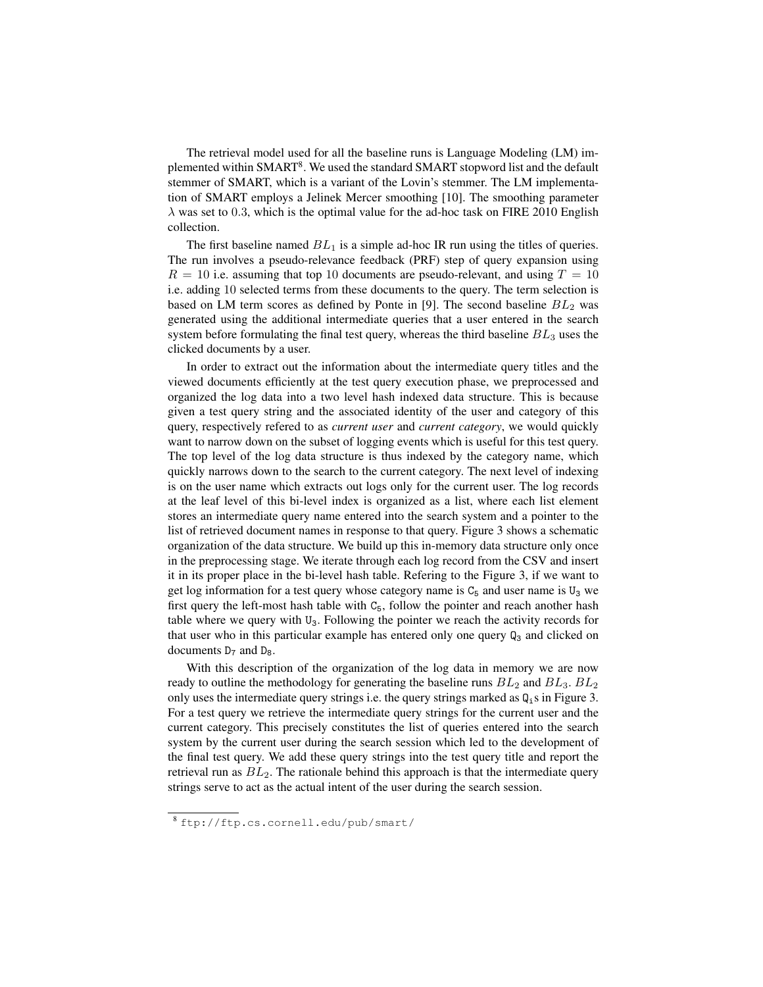The retrieval model used for all the baseline runs is Language Modeling (LM) implemented within SMART<sup>8</sup>. We used the standard SMART stopword list and the default stemmer of SMART, which is a variant of the Lovin's stemmer. The LM implementation of SMART employs a Jelinek Mercer smoothing [10]. The smoothing parameter  $\lambda$  was set to 0.3, which is the optimal value for the ad-hoc task on FIRE 2010 English collection.

The first baseline named  $BL_1$  is a simple ad-hoc IR run using the titles of queries. The run involves a pseudo-relevance feedback (PRF) step of query expansion using  $R = 10$  i.e. assuming that top 10 documents are pseudo-relevant, and using  $T = 10$ i.e. adding 10 selected terms from these documents to the query. The term selection is based on LM term scores as defined by Ponte in [9]. The second baseline  $BL_2$  was generated using the additional intermediate queries that a user entered in the search system before formulating the final test query, whereas the third baseline  $BL_3$  uses the clicked documents by a user.

In order to extract out the information about the intermediate query titles and the viewed documents efficiently at the test query execution phase, we preprocessed and organized the log data into a two level hash indexed data structure. This is because given a test query string and the associated identity of the user and category of this query, respectively refered to as *current user* and *current category*, we would quickly want to narrow down on the subset of logging events which is useful for this test query. The top level of the log data structure is thus indexed by the category name, which quickly narrows down to the search to the current category. The next level of indexing is on the user name which extracts out logs only for the current user. The log records at the leaf level of this bi-level index is organized as a list, where each list element stores an intermediate query name entered into the search system and a pointer to the list of retrieved document names in response to that query. Figure 3 shows a schematic organization of the data structure. We build up this in-memory data structure only once in the preprocessing stage. We iterate through each log record from the CSV and insert it in its proper place in the bi-level hash table. Refering to the Figure 3, if we want to get log information for a test query whose category name is  $C_5$  and user name is  $U_3$  we first query the left-most hash table with  $C_5$ , follow the pointer and reach another hash table where we query with  $U_3$ . Following the pointer we reach the activity records for that user who in this particular example has entered only one query  $Q_3$  and clicked on documents  $D_7$  and  $D_8$ .

With this description of the organization of the log data in memory we are now ready to outline the methodology for generating the baseline runs  $BL_2$  and  $BL_3$ .  $BL_2$ only uses the intermediate query strings i.e. the query strings marked as  $Q_i$  s in Figure 3. For a test query we retrieve the intermediate query strings for the current user and the current category. This precisely constitutes the list of queries entered into the search system by the current user during the search session which led to the development of the final test query. We add these query strings into the test query title and report the retrieval run as  $BL<sub>2</sub>$ . The rationale behind this approach is that the intermediate query strings serve to act as the actual intent of the user during the search session.

<sup>8</sup> ftp://ftp.cs.cornell.edu/pub/smart/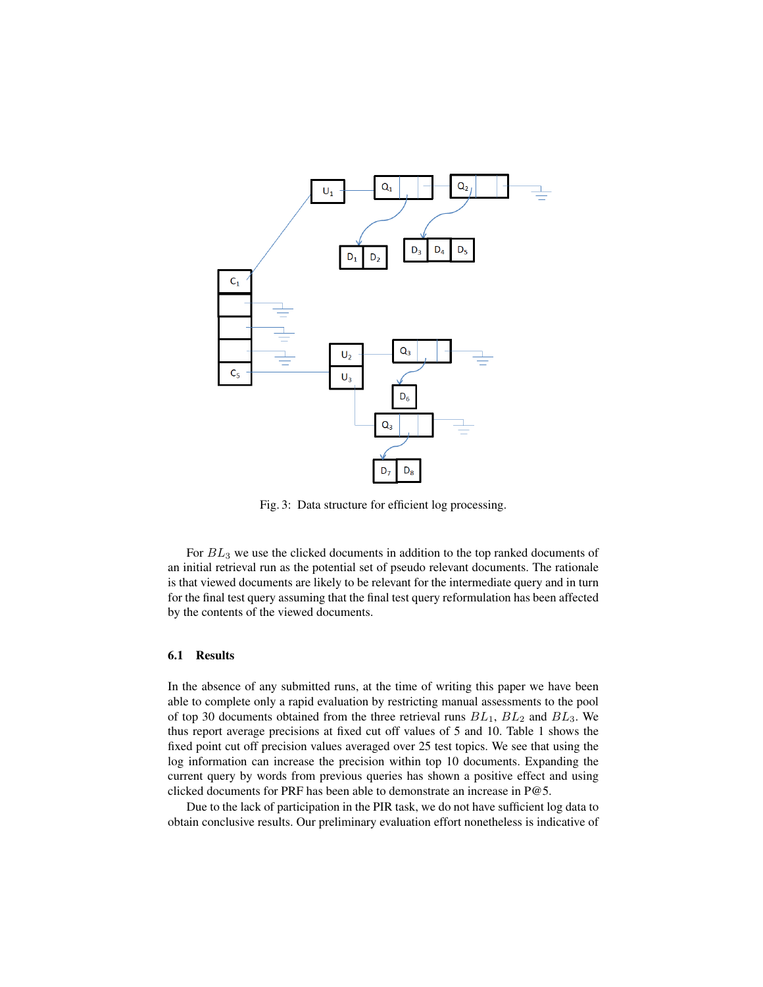

Fig. 3: Data structure for efficient log processing.

For  $BL_3$  we use the clicked documents in addition to the top ranked documents of an initial retrieval run as the potential set of pseudo relevant documents. The rationale is that viewed documents are likely to be relevant for the intermediate query and in turn for the final test query assuming that the final test query reformulation has been affected by the contents of the viewed documents.

#### 6.1 Results

In the absence of any submitted runs, at the time of writing this paper we have been able to complete only a rapid evaluation by restricting manual assessments to the pool of top 30 documents obtained from the three retrieval runs  $BL_1$ ,  $BL_2$  and  $BL_3$ . We thus report average precisions at fixed cut off values of 5 and 10. Table 1 shows the fixed point cut off precision values averaged over 25 test topics. We see that using the log information can increase the precision within top 10 documents. Expanding the current query by words from previous queries has shown a positive effect and using clicked documents for PRF has been able to demonstrate an increase in P@5.

Due to the lack of participation in the PIR task, we do not have sufficient log data to obtain conclusive results. Our preliminary evaluation effort nonetheless is indicative of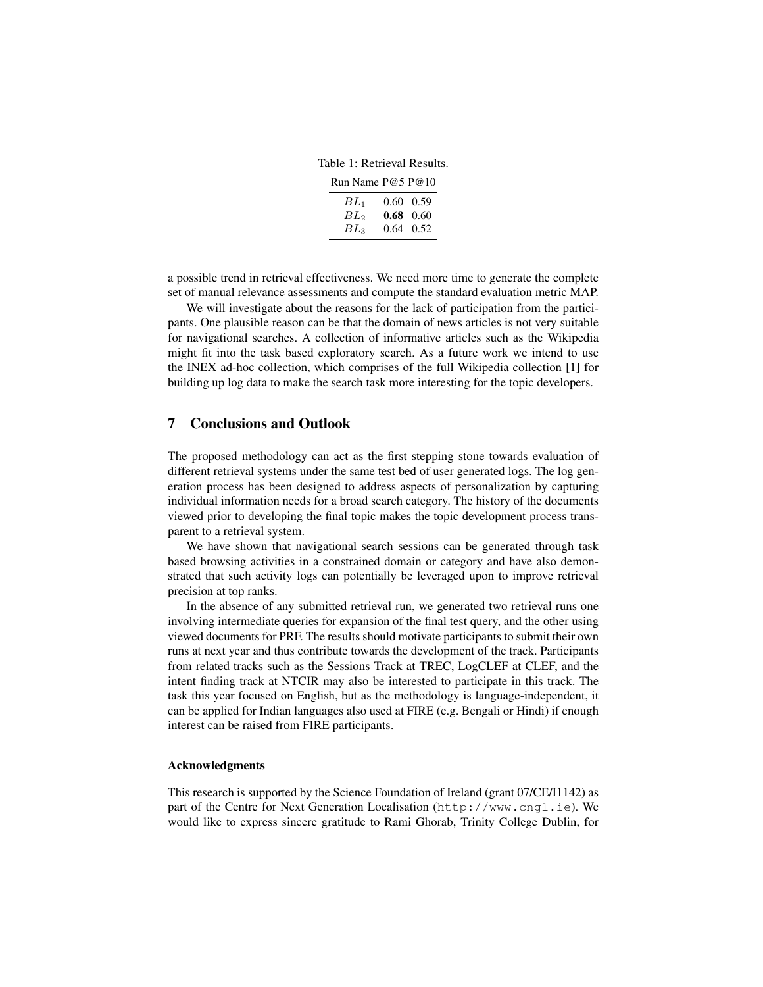Table 1: Retrieval Results.

| Run Name P@5 P@10 |                   |
|-------------------|-------------------|
| $BL_1$            | $0.60 \quad 0.59$ |
| $BL_2$            | $0.68 \quad 0.60$ |
| $BL_3$            | $0.64$ 0.52       |

a possible trend in retrieval effectiveness. We need more time to generate the complete set of manual relevance assessments and compute the standard evaluation metric MAP.

We will investigate about the reasons for the lack of participation from the participants. One plausible reason can be that the domain of news articles is not very suitable for navigational searches. A collection of informative articles such as the Wikipedia might fit into the task based exploratory search. As a future work we intend to use the INEX ad-hoc collection, which comprises of the full Wikipedia collection [1] for building up log data to make the search task more interesting for the topic developers.

### 7 Conclusions and Outlook

The proposed methodology can act as the first stepping stone towards evaluation of different retrieval systems under the same test bed of user generated logs. The log generation process has been designed to address aspects of personalization by capturing individual information needs for a broad search category. The history of the documents viewed prior to developing the final topic makes the topic development process transparent to a retrieval system.

We have shown that navigational search sessions can be generated through task based browsing activities in a constrained domain or category and have also demonstrated that such activity logs can potentially be leveraged upon to improve retrieval precision at top ranks.

In the absence of any submitted retrieval run, we generated two retrieval runs one involving intermediate queries for expansion of the final test query, and the other using viewed documents for PRF. The results should motivate participants to submit their own runs at next year and thus contribute towards the development of the track. Participants from related tracks such as the Sessions Track at TREC, LogCLEF at CLEF, and the intent finding track at NTCIR may also be interested to participate in this track. The task this year focused on English, but as the methodology is language-independent, it can be applied for Indian languages also used at FIRE (e.g. Bengali or Hindi) if enough interest can be raised from FIRE participants.

#### Acknowledgments

This research is supported by the Science Foundation of Ireland (grant 07/CE/I1142) as part of the Centre for Next Generation Localisation (http://www.cngl.ie). We would like to express sincere gratitude to Rami Ghorab, Trinity College Dublin, for